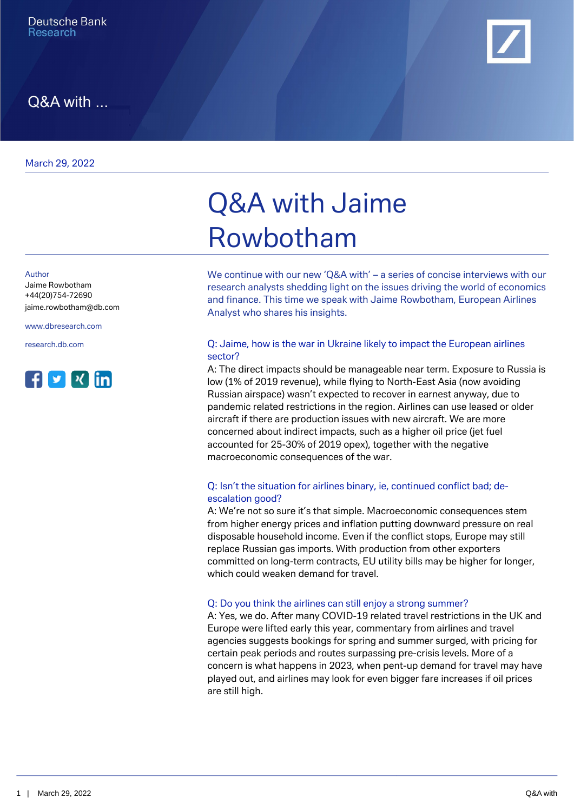

## Q&A with ...

March 29, 2022

Author

Jaime Rowbotham +44(20)754-72690 [jaime.rowbotham@db.com](mailto:jaime.rowbotham@db.com)

[www.dbresearch.com](https://www.dbresearch.com)



# Q&A with Jaime Rowbotham

We continue with our new 'Q&A with' – a series of concise interviews with our research analysts shedding light on the issues driving the world of economics and finance. This time we speak with Jaime Rowbotham, European Airlines Analyst who shares his insights.

#### [research.db.com](https://research.db.com) Q: Jaime, how is the war in Ukraine likely to impact the European airlines sector?

A: The direct impacts should be manageable near term. Exposure to Russia is low (1% of 2019 revenue), while flying to North-East Asia (now avoiding Russian airspace) wasn't expected to recover in earnest anyway, due to pandemic related restrictions in the region. Airlines can use leased or older aircraft if there are production issues with new aircraft. We are more concerned about indirect impacts, such as a higher oil price (jet fuel accounted for 25-30% of 2019 opex), together with the negative macroeconomic consequences of the war.

#### Q: Isn't the situation for airlines binary, ie, continued conflict bad; deescalation good?

A: We're not so sure it's that simple. Macroeconomic consequences stem from higher energy prices and inflation putting downward pressure on real disposable household income. Even if the conflict stops, Europe may still replace Russian gas imports. With production from other exporters committed on long-term contracts, EU utility bills may be higher for longer, which could weaken demand for travel.

#### Q: Do you think the airlines can still enjoy a strong summer?

A: Yes, we do. After many COVID-19 related travel restrictions in the UK and Europe were lifted early this year, commentary from airlines and travel agencies suggests bookings for spring and summer surged, with pricing for certain peak periods and routes surpassing pre-crisis levels. More of a concern is what happens in 2023, when pent-up demand for travel may have played out, and airlines may look for even bigger fare increases if oil prices are still high.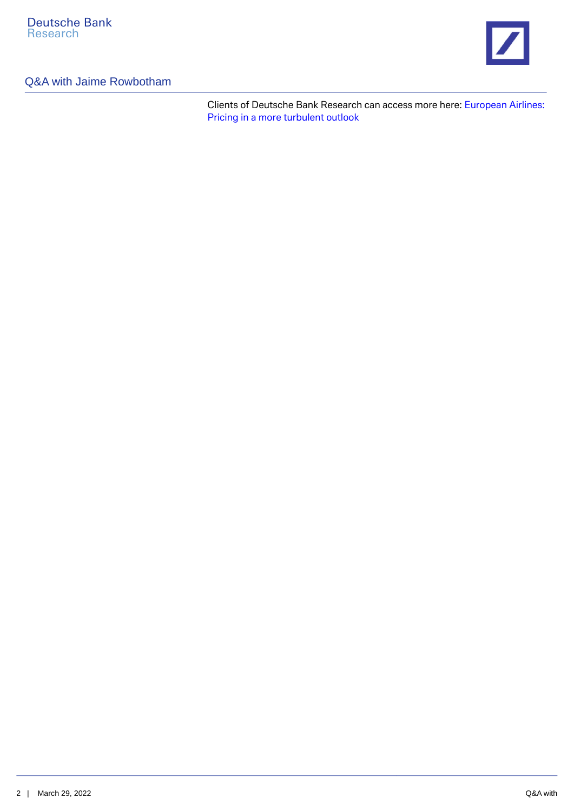

### Q&A with Jaime Rowbotham

Clients of Deutsche Bank Research can access more here: [European Airlines:](https://research.db.com/Research/Article?rid=f3965239-8c8f-4f53-a4e9-1f36b4713e93-604&kid=RP0001&documentType=R&wt_cc1=IND-1713-4721) [Pricing in a more turbulent outlook](https://research.db.com/Research/Article?rid=f3965239-8c8f-4f53-a4e9-1f36b4713e93-604&kid=RP0001&documentType=R&wt_cc1=IND-1713-4721)